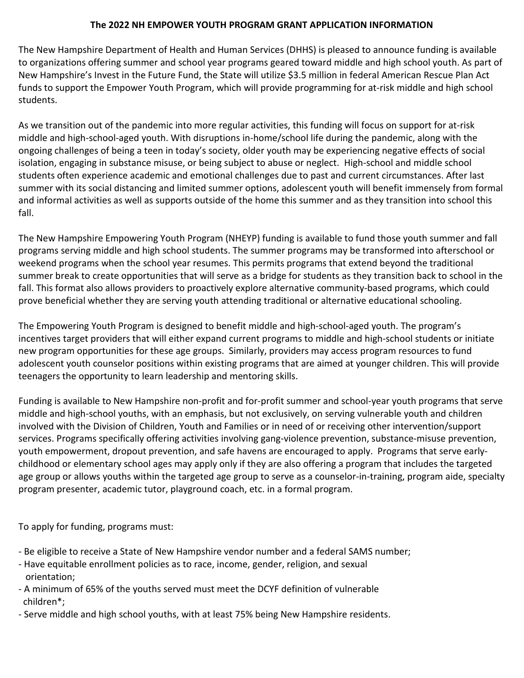## **The 2022 NH EMPOWER YOUTH PROGRAM GRANT APPLICATION INFORMATION**

The New Hampshire Department of Health and Human Services (DHHS) is pleased to announce funding is available to organizations offering summer and school year programs geared toward middle and high school youth. As part of New Hampshire's Invest in the Future Fund, the State will utilize \$3.5 million in federal American Rescue Plan Act funds to support the Empower Youth Program, which will provide programming for at-risk middle and high school students.

As we transition out of the pandemic into more regular activities, this funding will focus on support for at-risk middle and high-school-aged youth. With disruptions in-home/school life during the pandemic, along with the ongoing challenges of being a teen in today's society, older youth may be experiencing negative effects of social isolation, engaging in substance misuse, or being subject to abuse or neglect. High-school and middle school students often experience academic and emotional challenges due to past and current circumstances. After last summer with its social distancing and limited summer options, adolescent youth will benefit immensely from formal and informal activities as well as supports outside of the home this summer and as they transition into school this fall.

The New Hampshire Empowering Youth Program (NHEYP) funding is available to fund those youth summer and fall programs serving middle and high school students. The summer programs may be transformed into afterschool or weekend programs when the school year resumes. This permits programs that extend beyond the traditional summer break to create opportunities that will serve as a bridge for students as they transition back to school in the fall. This format also allows providers to proactively explore alternative community-based programs, which could prove beneficial whether they are serving youth attending traditional or alternative educational schooling.

The Empowering Youth Program is designed to benefit middle and high-school-aged youth. The program's incentives target providers that will either expand current programs to middle and high-school students or initiate new program opportunities for these age groups. Similarly, providers may access program resources to fund adolescent youth counselor positions within existing programs that are aimed at younger children. This will provide teenagers the opportunity to learn leadership and mentoring skills.

Funding is available to New Hampshire non-profit and for-profit summer and school-year youth programs that serve middle and high-school youths, with an emphasis, but not exclusively, on serving vulnerable youth and children involved with the Division of Children, Youth and Families or in need of or receiving other intervention/support services. Programs specifically offering activities involving gang-violence prevention, substance-misuse prevention, youth empowerment, dropout prevention, and safe havens are encouraged to apply. Programs that serve earlychildhood or elementary school ages may apply only if they are also offering a program that includes the targeted age group or allows youths within the targeted age group to serve as a counselor-in-training, program aide, specialty program presenter, academic tutor, playground coach, etc. in a formal program.

To apply for funding, programs must:

- Be eligible to receive a State of New Hampshire vendor number and a federal SAMS number;
- Have equitable enrollment policies as to race, income, gender, religion, and sexual orientation;
- A minimum of 65% of the youths served must meet the DCYF definition of vulnerable children\*;
- Serve middle and high school youths, with at least 75% being New Hampshire residents.